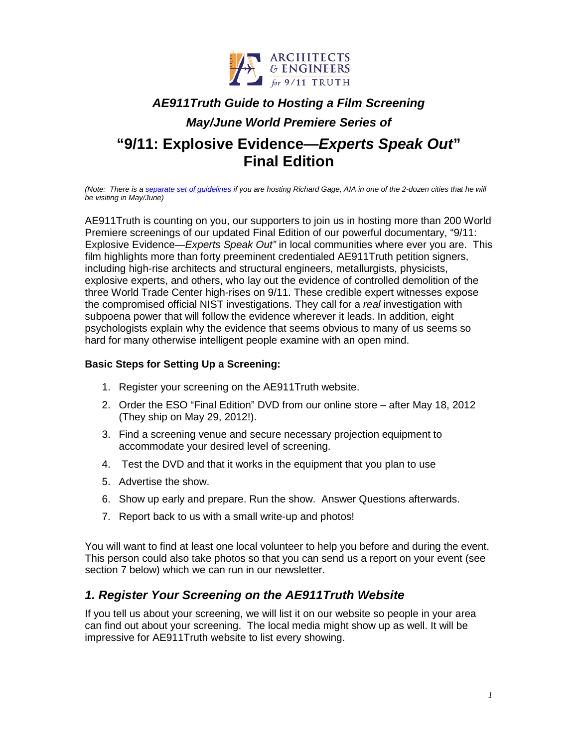

# *AE911Truth Guide to Hosting a Film Screening*

# *May/June World Premiere Series of*

# **"9/11: Explosive Evidence—***Experts Speak Out***" Final Edition**

*(Note: There is a [separate set of guidelines](http://ae911truth.org/downloads/documents/EC_Guide_Host_RG_ESO.doc) if you are hosting Richard Gage, AIA in one of the 2-dozen cities that he will be visiting in May/June)*

AE911Truth is counting on you, our supporters to join us in hosting more than 200 World Premiere screenings of our updated Final Edition of our powerful documentary, "9/11: Explosive Evidence—*Experts Speak Out"* in local communities where ever you are. This film highlights more than forty preeminent credentialed AE911Truth petition signers, including high-rise architects and structural engineers, metallurgists, physicists, explosive experts, and others, who lay out the evidence of controlled demolition of the three World Trade Center high-rises on 9/11. These credible expert witnesses expose the compromised official NIST investigations. They call for a *real* investigation with subpoena power that will follow the evidence wherever it leads. In addition, eight psychologists explain why the evidence that seems obvious to many of us seems so hard for many otherwise intelligent people examine with an open mind.

#### **Basic Steps for Setting Up a Screening:**

- 1. Register your screening on the AE911Truth website.
- 2. Order the ESO "Final Edition" DVD from our online store after May 18, 2012 (They ship on May 29, 2012!).
- 3. Find a screening venue and secure necessary projection equipment to accommodate your desired level of screening.
- 4. Test the DVD and that it works in the equipment that you plan to use
- 5. Advertise the show.
- 6. Show up early and prepare. Run the show. Answer Questions afterwards.
- 7. Report back to us with a small write-up and photos!

You will want to find at least one local volunteer to help you before and during the event. This person could also take photos so that you can send us a report on your event (see section 7 below) which we can run in our newsletter.

### *1. Register Your Screening on the AE911Truth Website*

If you tell us about your screening, we will list it on our website so people in your area can find out about your screening. The local media might show up as well. It will be impressive for AE911Truth website to list every showing.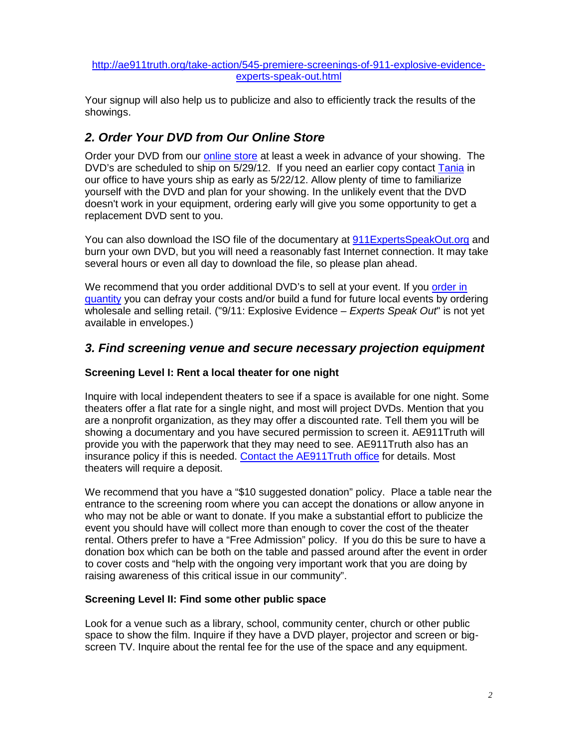#### [http://ae911truth.org/take-action/545-premiere-screenings-of-911-explosive-evidence](http://ae911truth.org/take-action/545-premiere-screenings-of-911-explosive-evidence-experts-speak-out.html)[experts-speak-out.html](http://ae911truth.org/take-action/545-premiere-screenings-of-911-explosive-evidence-experts-speak-out.html)

Your signup will also help us to publicize and also to efficiently track the results of the showings.

### *2. Order Your DVD from Our Online Store*

Order your DVD from our [online store](http://shop.ae911truth.org/) at least a week in advance of your showing. The DVD's are scheduled to ship on 5/29/12. If you need an earlier copy contact [Tania](mailto:ttorres@ae911truth.org) in our office to have yours ship as early as 5/22/12. Allow plenty of time to familiarize yourself with the DVD and plan for your showing. In the unlikely event that the DVD doesn't work in your equipment, ordering early will give you some opportunity to get a replacement DVD sent to you.

You can also download the ISO file of the documentary at [911ExpertsSpeakOut.org](http://www.911expertsspeakout.org/) and burn your own DVD, but you will need a reasonably fast Internet connection. It may take several hours or even all day to download the file, so please plan ahead.

We recommend that you order additional DVD's to sell at your event. If you order in [quantity](http://shop.ae911truth.org/DVD-Cased-9-11-Explosive-Evidence-Experts-Speak-Out-DVD-ESO-CASED1-PP.htm) you can defray your costs and/or build a fund for future local events by ordering wholesale and selling retail. ("9/11: Explosive Evidence – *Experts Speak Out*" is not yet available in envelopes.)

### *3. Find screening venue and secure necessary projection equipment*

#### **Screening Level I: Rent a local theater for one night**

Inquire with local independent theaters to see if a space is available for one night. Some theaters offer a flat rate for a single night, and most will project DVDs. Mention that you are a nonprofit organization, as they may offer a discounted rate. Tell them you will be showing a documentary and you have secured permission to screen it. AE911Truth will provide you with the paperwork that they may need to see. AE911Truth also has an insurance policy if this is needed. [Contact the AE911Truth office](http://www.ae911truth.org/en/contact.html) for details. Most theaters will require a deposit.

We recommend that you have a "\$10 suggested donation" policy. Place a table near the entrance to the screening room where you can accept the donations or allow anyone in who may not be able or want to donate. If you make a substantial effort to publicize the event you should have will collect more than enough to cover the cost of the theater rental. Others prefer to have a "Free Admission" policy. If you do this be sure to have a donation box which can be both on the table and passed around after the event in order to cover costs and "help with the ongoing very important work that you are doing by raising awareness of this critical issue in our community".

#### **Screening Level II: Find some other public space**

Look for a venue such as a library, school, community center, church or other public space to show the film. Inquire if they have a DVD player, projector and screen or bigscreen TV. Inquire about the rental fee for the use of the space and any equipment.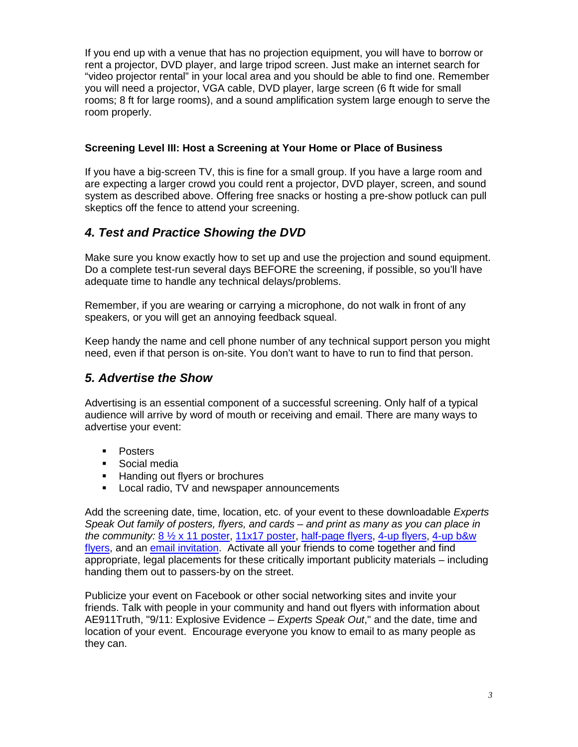If you end up with a venue that has no projection equipment, you will have to borrow or rent a projector, DVD player, and large tripod screen. Just make an internet search for "video projector rental" in your local area and you should be able to find one. Remember you will need a projector, VGA cable, DVD player, large screen (6 ft wide for small rooms; 8 ft for large rooms), and a sound amplification system large enough to serve the room properly.

#### **Screening Level III: Host a Screening at Your Home or Place of Business**

If you have a big-screen TV, this is fine for a small group. If you have a large room and are expecting a larger crowd you could rent a projector, DVD player, screen, and sound system as described above. Offering free snacks or hosting a pre-show potluck can pull skeptics off the fence to attend your screening.

# *4. Test and Practice Showing the DVD*

Make sure you know exactly how to set up and use the projection and sound equipment. Do a complete test-run several days BEFORE the screening, if possible, so you'll have adequate time to handle any technical delays/problems.

Remember, if you are wearing or carrying a microphone, do not walk in front of any speakers, or you will get an annoying feedback squeal.

Keep handy the name and cell phone number of any technical support person you might need, even if that person is on-site. You don't want to have to run to find that person.

### *5. Advertise the Show*

Advertising is an essential component of a successful screening. Only half of a typical audience will arrive by word of mouth or receiving and email. There are many ways to advertise your event:

- **Posters**
- **Social media**
- **Handing out flyers or brochures**
- **Local radio, TV and newspaper announcements**

Add the screening date, time, location, etc. of your event to these downloadable *Experts Speak Out family of posters, flyers, and cards – and print as many as you can place in the community:* [8 ½ x 11 poster,](http://ae911truth.org/downloads/graphics/editable_posters/ESO_editable_screening_poster_8.5x11.pdf) [11x17 poster,](http://ae911truth.org/downloads/graphics/editable_posters/ESO_editable_screening_poster_11x17.pdf) [half-page flyers,](http://ae911truth.org/downloads/graphics/editable_posters/ESO_editable_screening_poster_2UP.pdf) [4-up flyers,](http://ae911truth.org/downloads/graphics/editable_posters/ESO_editable_screening_poster_4UP.pdf) [4-up b&w](http://ae911truth.org/downloads/graphics/editable_posters/ESO_editable_screening_poster_4UP-b&w.pdf)  [flyers,](http://ae911truth.org/downloads/graphics/editable_posters/ESO_editable_screening_poster_4UP-b&w.pdf) and an [email invitation.](http://ae911truth.org/downloads/images/ESO_evite.jpg) Activate all your friends to come together and find appropriate, legal placements for these critically important publicity materials – including handing them out to passers-by on the street.

Publicize your event on Facebook or other social networking sites and invite your friends. Talk with people in your community and hand out flyers with information about AE911Truth, "9/11: Explosive Evidence – *Experts Speak Out*," and the date, time and location of your event. Encourage everyone you know to email to as many people as they can.